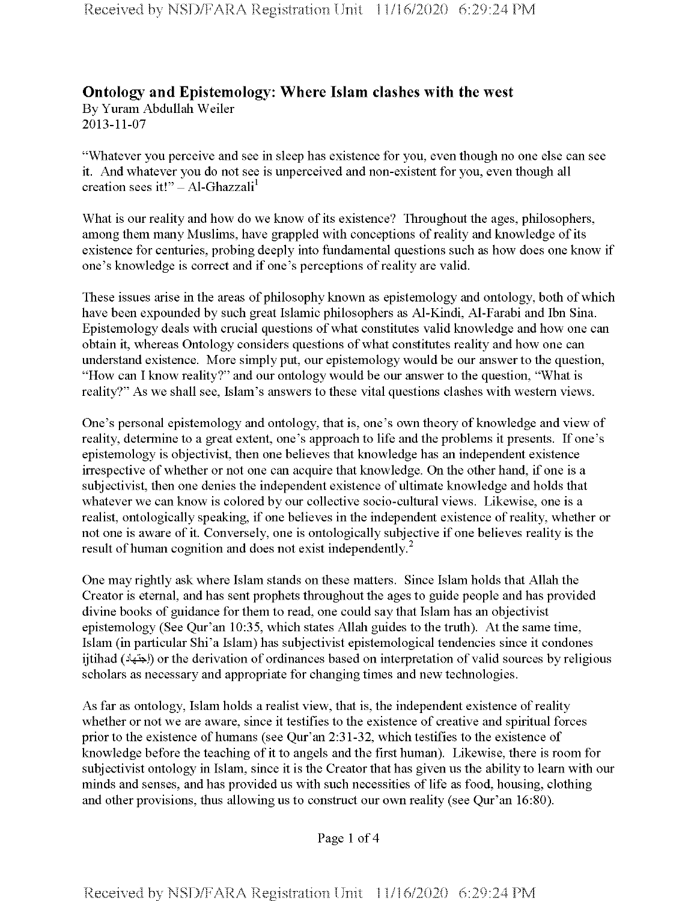## **Ontology and Epistemology: Where Islam clashes with the west**

By Yuram Abdullah Weiler 2013-11-07

"Whatever you perceive and see in sleep has existence for you, even though no one else can see it. And whatever you do not see is unperceived and non-existent for you, even though all creation sees it!"  $-$  Al-Ghazzali<sup>1</sup>

What is our reality and how do we know of its existence? Throughout the ages, philosophers, among them many Muslims, have grappled with conceptions of reality and knowledge of its existence for centuries, probing deeply into fundamental questions such as how does one know if one's knowledge is correct and if one's perceptions of reality are valid.

These issues arise in the areas of philosophy known as epistemology and ontology, both of which have been expounded by such great Islamic philosophers as Al-Kindi, Al-Farabi and Ibn Sina. Epistemology deals with crucial questions of what constitutes valid knowledge and how one can obtain it, whereas Ontology considers questions of what constitutes reality and how one can understand existence. More simply put, our epistemology would be our answer to the question, "How can I know reality?" and our ontology would be our answer to the question, "What is reality?" As we shall see, Islam's answers to these vital questions clashes with western views.

One's personal epistemology and ontology, that is, one's own theory of knowledge and view of reality, determine to a great extent, one's approach to life and the problems it presents. If one's epistemology is objectivist, then one believes that knowledge has an independent existence irrespective of whether or not one can acquire that knowledge. On the other hand, if one is a subjectivist, then one denies the independent existence of ultimate knowledge and holds that whatever we can know is colored by our collective socio-cultural views. Likewise, one is a realist, ontologically speaking, if one believes in the independent existence of reality, whether or not one is aware of it. Conversely, one is ontologically subjective if one believes reality is the result of human cognition and does not exist independently.<sup>2</sup>

One may rightly ask where Islam stands on these matters. Since Islam holds that Allah the Creator is eternal, and has sent prophets throughout the ages to guide people and has provided divine books of guidance for them to read, one could say that Islam has an objectivist epistemology (See Qur'an 10:35, which states Allah guides to the truth). At the same time, Islam (in particular Shi'a Islam) has subjectivist epistemological tendencies since it condones ijtihad (إجتهاد) or the derivation of ordinances based on interpretation of valid sources by religious scholars as necessary and appropriate for changing times and new technologies.

As far as ontology, Islam holds a realist view, that is, the independent existence ofreality whether or not we are aware, since it testifies to the existence of creative and spiritual forces prior to the existence of humans (see Qur'an 2:31-32, which testifies to the existence of knowledge before the teaching of it to angels and the first human). Likewise, there is room for subjectivist ontology in Islam, since it is the Creator that has given us the ability to learn with our minds and senses, and has provided us with such necessities of life as food, housing, clothing and other provisions, thus allowing us to construct our own reality (see Qur'an 16:80).

Page <sup>1</sup> of 4

**Received by NSD/FARA Registration Unit 11/16/2020 6:29:24 PM**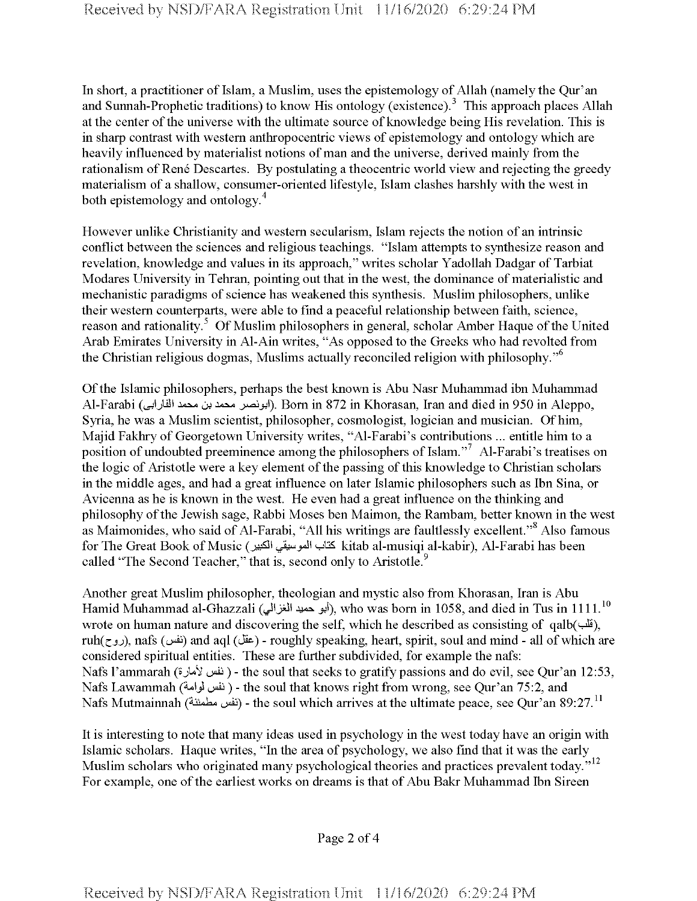In short, a practitioner of Islam, a Muslim, uses the epistemology of Allah (namely the Qur'an and Sunnah-Prophetic traditions) to know His ontology (existence).<sup>3</sup> This approach places Allah at the center of the universe with the ultimate source of knowledge being His revelation. This is in sharp contrast with western anthropocentric views of epistemology and ontology which are heavily influenced by materialist notions of man and the universe, derived mainly from the rationalism of René Descartes. By postulating a theocentric world view and rejecting the greedy materialism of a shallow, consumer-oriented lifestyle, Islam clashes harshly with the west in both epistemology and ontology.<sup>4</sup>

However unlike Christianity and western secularism, Islam rejects the notion of an intrinsic conflict between the sciences and religious teachings. "Islam attempts to synthesize reason and revelation, knowledge and values in its approach," writes scholar Yadollah Dadgar of Tarbiat Modares University in Tehran, pointing out that in the west, the dominance of materialistic and mechanistic paradigms of science has weakened this synthesis. Muslim philosophers, unlike their western counterparts, were able to find a peaceful relationship between faith, science, reason and rationality.<sup>5</sup> Of Muslim philosophers in general, scholar Amber Haque of the United Arab Emirates University in Al-Ain writes, "As opposed to the Greeks who had revolted from the Christian religious dogmas, Muslims actually reconciled religion with philosophy."6

Ofthe Islamic philosophers, perhaps the best known is Abu Nasr Muhammad ibn Muhammad Al-Farabi (^'jlil' *\*\*\*\* ot \*\*\*\** j^4>?'). Bom in 872 in Khorasan, Iran and died in 950 in Aleppo, Syria, he was a Muslim scientist, philosopher, cosmologist, logician and musician. Ofhim, Majid Fakhry of Georgetown University writes, "Al-Farabi's contributions ... entitle him to a position of undoubted preeminence among the philosophers of Islam."<sup>7</sup> Al-Farabi's treatises on the logic of Aristotle were a key element of the passing of this knowledge to Christian scholars in the middle ages, and had a great influence on later Islamic philosophers such as Ibn Sina, or Avicenna as he is known in the west. He even had a great influence on the thinking and philosophy of the Jewish sage, Rabbi Moses ben Maimon, the Rambam, better known in the west as Maimonides, who said of Al-Farabi, "All his writings are faultlessly excellent."<sup>8</sup> Also famous for The Great Book of Music (كتاب الموسيقي الكبير kitab al-musiqi al-kabir), Al-Farabi has been called "The Second Teacher," that is, second only to Aristotle.<sup>9</sup>

Another great Muslim philosopher, theologian and mystic also from Khorasan, Iran is Abu Hamid Muhammad al-Ghazzali (أبو حميد الغزالي), who was born in 1058, and died in Tus in 1111.<sup>10</sup> wrote on human nature and discovering the self, which he described as consisting of qalb( $\ddot{\mathbf{u}}$ ), ruh(روح), nafs (نفس) and aql (JS) - roughly speaking, heart, spirit, soul and mind - all of which are considered spiritual entities. These are further subdivided, for example the nafs: Nafs l'ammarah (نفس لأمارة) - the soul that seeks to gratify passions and do evil, see Qur'an 12:53, Nafs Lawammah (نفس لموامة) - the soul that knows right from wrong, see Qur'an 75:2, and Nafs Mutmainnah (نفس مطمئنة) - the soul which arrives at the ultimate peace, see Qur'an 89:27.<sup>11</sup>

It is interesting to note that many ideas used in psychology in the west today have an origin with Islamic scholars. Haque writes, "In the area of psychology, we also find that it was the early Muslim scholars who originated many psychological theories and practices prevalent today."<sup>12</sup> For example, one of the earliest works on dreams is that of Abu Bakr Muhammad Ibn Sireen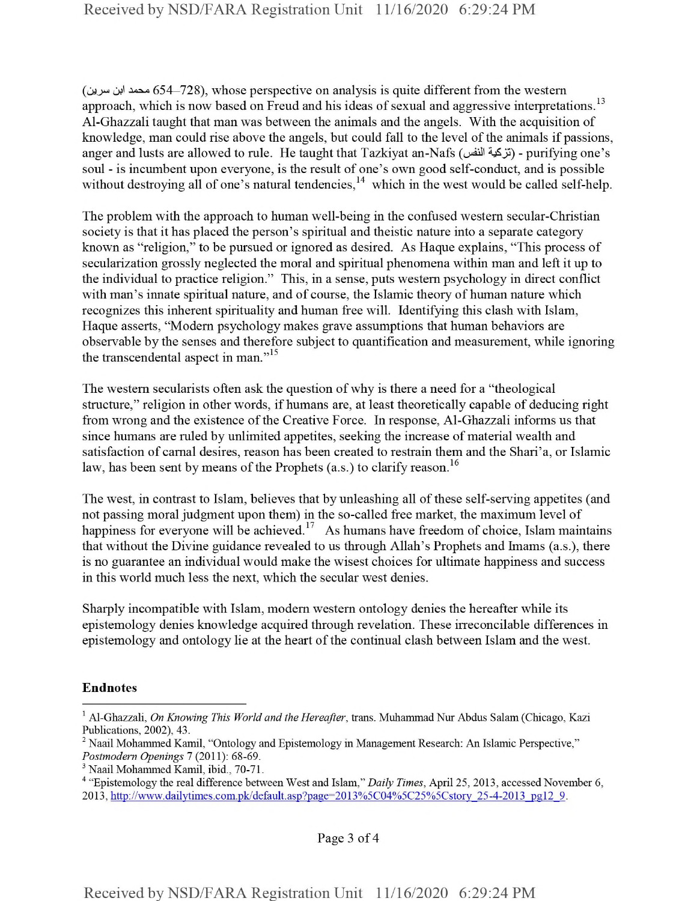$(60, 654-728)$ , whose perspective on analysis is quite different from the western approach, which is now based on Freud and his ideas of sexual and aggressive interpretations.<sup>13</sup> Al-Ghazzali taught that man was between the animals and the angels. With the acquisition of knowledge, man could rise above the angels, but could fall to the level of the animals if passions, anger and lusts are allowed to rule. He taught that Tazkiyat an-Nafs (تزكية النفس) - purifying one's soul - is incumbent upon everyone, is the result of one's own good self-conduct, and is possible without destroying all of one's natural tendencies, $14$  which in the west would be called self-help.

The problem with the approach to human well-being in the confused western secular-Christian society is that it has placed the person's spiritual and theistic nature into a separate category known as "religion," to be pursued or ignored as desired. As Haque explains, "This process of secularization grossly neglected the moral and spiritual phenomena within man and left it up to the individual to practice religion." This, in a sense, puts western psychology in direct conflict with man's innate spiritual nature, and of course, the Islamic theory of human nature which recognizes this inherent spirituality and human free will. Identifying this clash with Islam, Haque asserts, "Modem psychology makes grave assumptions that human behaviors are observable by the senses and therefore subject to quantification and measurement, while ignoring the transcendental aspect in man."<sup>15</sup>

The western secularists often ask the question of why is there a need for a "theological structure," religion in other words, if humans are, at least theoretically capable of deducing right from wrong and the existence of the Creative Force. In response, Al-Ghazzali informs us that since humans are ruled by unlimited appetites, seeking the increase of material wealth and satisfaction of carnal desires, reason has been created to restrain them and the Shari'a, or Islamic law, has been sent by means of the Prophets  $(a.s.)$  to clarify reason.<sup>16</sup>

The west, in contrast to Islam, believes that by unleashing all of these self-serving appetites (and not passing moral judgment upon them) in the so-called free market, the maximum level of happiness for everyone will be achieved.<sup>17</sup> As humans have freedom of choice, Islam maintains that without the Divine guidance revealed to us through Allah's Prophets and Imams (a.s.), there is no guarantee an individual would make the wisest choices for ultimate happiness and success in this world much less the next, which the secular west denies.

Sharply incompatible with Islam, modem western ontology denies the hereafter while its epistemology denies knowledge acquired through revelation. These irreconcilable differences in epistemology and ontology lie at the heart of the continual clash between Islam and the west.

## Endnotes

<sup>1</sup> Al-Ghazzali, *On Knowing This World and the Hereafter,* trans. Muhammad Nur Abdus Salam (Chicago, Kazi Publications, 2002), 43.

<sup>2</sup> Naail Mohammed Kamil, "Ontology and Epistemology in Management Research: An Islamic Perspective," *Postmodern Openings* 7 (2011): 68-69.

<sup>3</sup> Naail Mohammed Kamil, ibid., 70-71.

<sup>4</sup> "Epistemology the real difference between West and Islam," *Daily Times*, April 25, 2013, accessed November 6, 2013, http://www.dailvtimes.com.pk/default.asp?page=2013%5C04%5C25%5Cstorv 25-4-2013 pg!2 9.